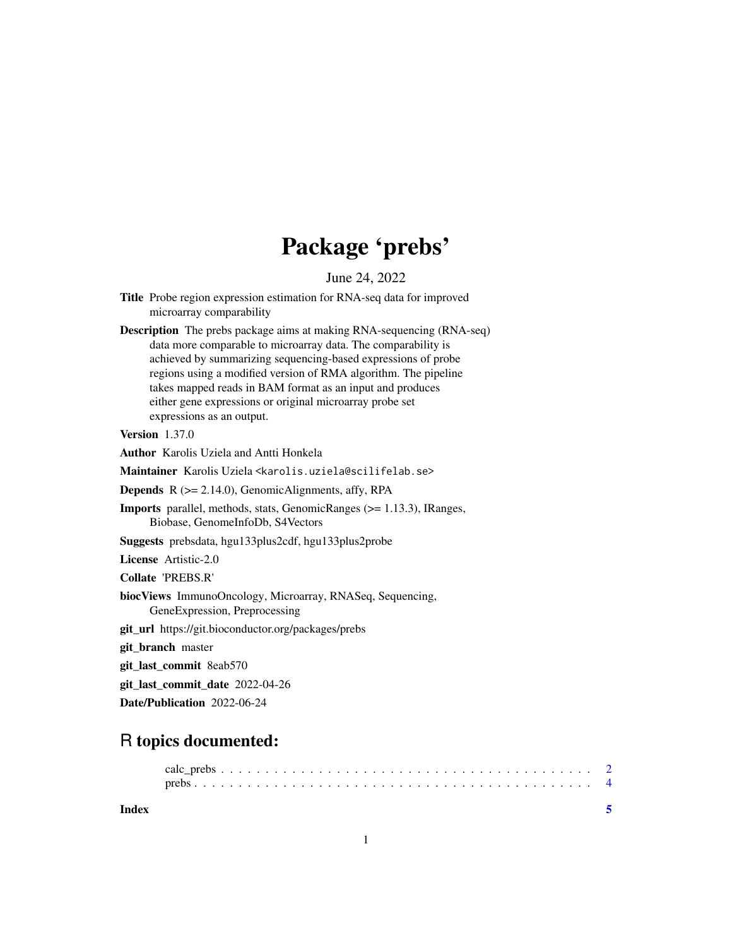## Package 'prebs'

June 24, 2022

- Title Probe region expression estimation for RNA-seq data for improved microarray comparability
- Description The prebs package aims at making RNA-sequencing (RNA-seq) data more comparable to microarray data. The comparability is achieved by summarizing sequencing-based expressions of probe regions using a modified version of RMA algorithm. The pipeline takes mapped reads in BAM format as an input and produces either gene expressions or original microarray probe set expressions as an output.

Version 1.37.0

Author Karolis Uziela and Antti Honkela

Maintainer Karolis Uziela <karolis.uziela@scilifelab.se>

**Depends**  $R$  ( $>= 2.14.0$ ), GenomicAlignments, affy, RPA

Imports parallel, methods, stats, GenomicRanges (>= 1.13.3), IRanges, Biobase, GenomeInfoDb, S4Vectors

Suggests prebsdata, hgu133plus2cdf, hgu133plus2probe

License Artistic-2.0

Collate 'PREBS.R'

- biocViews ImmunoOncology, Microarray, RNASeq, Sequencing, GeneExpression, Preprocessing
- git\_url https://git.bioconductor.org/packages/prebs

git\_branch master

git\_last\_commit 8eab570

git\_last\_commit\_date 2022-04-26

Date/Publication 2022-06-24

### R topics documented:

**Index** [5](#page-4-0). The second state of the second state of the second state of the second state of the second state of the second state of the second state of the second state of the second state of the second state of the second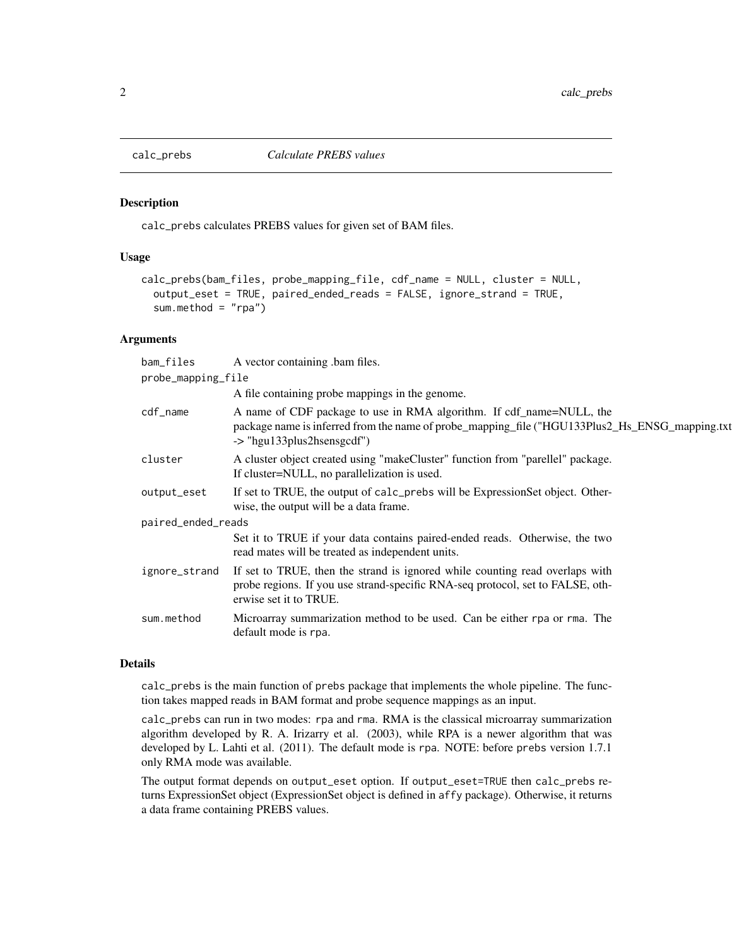<span id="page-1-0"></span>

#### Description

calc\_prebs calculates PREBS values for given set of BAM files.

#### Usage

```
calc_prebs(bam_files, probe_mapping_file, cdf_name = NULL, cluster = NULL,
 output_eset = TRUE, paired_ended_reads = FALSE, ignore_strand = TRUE,
  sum.method = "rpa")
```
#### Arguments

| bam_files          | A vector containing bam files.                                                                                                                                                                       |  |  |
|--------------------|------------------------------------------------------------------------------------------------------------------------------------------------------------------------------------------------------|--|--|
| probe_mapping_file |                                                                                                                                                                                                      |  |  |
|                    | A file containing probe mappings in the genome.                                                                                                                                                      |  |  |
| cdf_name           | A name of CDF package to use in RMA algorithm. If cdf_name=NULL, the<br>package name is inferred from the name of probe_mapping_file ("HGU133Plus2_Hs_ENSG_mapping.txt<br>-> "hgu133plus2hsensgcdf") |  |  |
| cluster            | A cluster object created using "makeCluster" function from "parellel" package.<br>If cluster=NULL, no parallelization is used.                                                                       |  |  |
| output_eset        | If set to TRUE, the output of calc_prebs will be ExpressionSet object. Other-<br>wise, the output will be a data frame.                                                                              |  |  |
| paired_ended_reads |                                                                                                                                                                                                      |  |  |
|                    | Set it to TRUE if your data contains paired-ended reads. Otherwise, the two<br>read mates will be treated as independent units.                                                                      |  |  |
| ignore_strand      | If set to TRUE, then the strand is ignored while counting read overlaps with<br>probe regions. If you use strand-specific RNA-seq protocol, set to FALSE, oth-<br>erwise set it to TRUE.             |  |  |
| sum.method         | Microarray summarization method to be used. Can be either rpa or rma. The<br>default mode is rpa.                                                                                                    |  |  |

#### Details

calc\_prebs is the main function of prebs package that implements the whole pipeline. The function takes mapped reads in BAM format and probe sequence mappings as an input.

calc\_prebs can run in two modes: rpa and rma. RMA is the classical microarray summarization algorithm developed by R. A. Irizarry et al. (2003), while RPA is a newer algorithm that was developed by L. Lahti et al. (2011). The default mode is rpa. NOTE: before prebs version 1.7.1 only RMA mode was available.

The output format depends on output\_eset option. If output\_eset=TRUE then calc\_prebs returns ExpressionSet object (ExpressionSet object is defined in affy package). Otherwise, it returns a data frame containing PREBS values.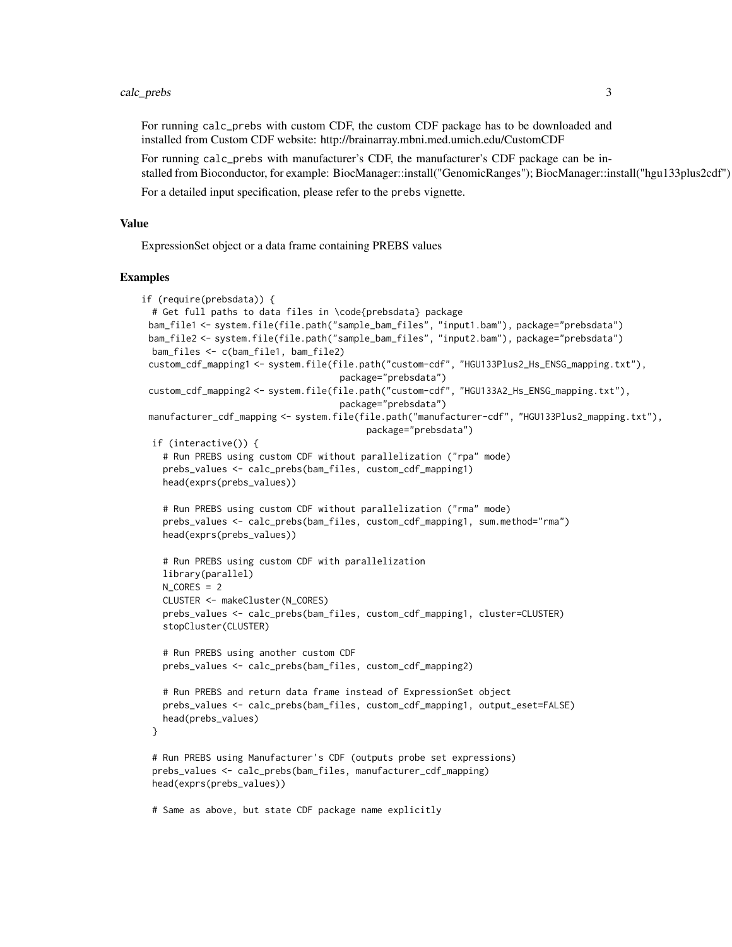#### calc\_prebs 3

For running calc\_prebs with custom CDF, the custom CDF package has to be downloaded and installed from Custom CDF website: http://brainarray.mbni.med.umich.edu/CustomCDF

For running calc\_prebs with manufacturer's CDF, the manufacturer's CDF package can be installed from Bioconductor, for example: BiocManager::install("GenomicRanges"); BiocManager::install("hgu133plus2cdf")

For a detailed input specification, please refer to the prebs vignette.

#### Value

ExpressionSet object or a data frame containing PREBS values

#### Examples

```
if (require(prebsdata)) {
 # Get full paths to data files in \code{prebsdata} package
 bam_file1 <- system.file(file.path("sample_bam_files", "input1.bam"), package="prebsdata")
 bam_file2 <- system.file(file.path("sample_bam_files", "input2.bam"), package="prebsdata")
 bam_files <- c(bam_file1, bam_file2)
 custom_cdf_mapping1 <- system.file(file.path("custom-cdf", "HGU133Plus2_Hs_ENSG_mapping.txt"),
                                     package="prebsdata")
 custom_cdf_mapping2 <- system.file(file.path("custom-cdf", "HGU133A2_Hs_ENSG_mapping.txt"),
                                     package="prebsdata")
 manufacturer_cdf_mapping <- system.file(file.path("manufacturer-cdf", "HGU133Plus2_mapping.txt"),
                                          package="prebsdata")
 if (interactive()) {
   # Run PREBS using custom CDF without parallelization ("rpa" mode)
   prebs_values <- calc_prebs(bam_files, custom_cdf_mapping1)
   head(exprs(prebs_values))
   # Run PREBS using custom CDF without parallelization ("rma" mode)
   prebs_values <- calc_prebs(bam_files, custom_cdf_mapping1, sum.method="rma")
   head(exprs(prebs_values))
   # Run PREBS using custom CDF with parallelization
   library(parallel)
   N<sub>CORES</sub> = 2
   CLUSTER <- makeCluster(N_CORES)
   prebs_values <- calc_prebs(bam_files, custom_cdf_mapping1, cluster=CLUSTER)
   stopCluster(CLUSTER)
   # Run PREBS using another custom CDF
   prebs_values <- calc_prebs(bam_files, custom_cdf_mapping2)
   # Run PREBS and return data frame instead of ExpressionSet object
   prebs_values <- calc_prebs(bam_files, custom_cdf_mapping1, output_eset=FALSE)
   head(prebs_values)
 }
 # Run PREBS using Manufacturer's CDF (outputs probe set expressions)
 prebs_values <- calc_prebs(bam_files, manufacturer_cdf_mapping)
 head(exprs(prebs_values))
 # Same as above, but state CDF package name explicitly
```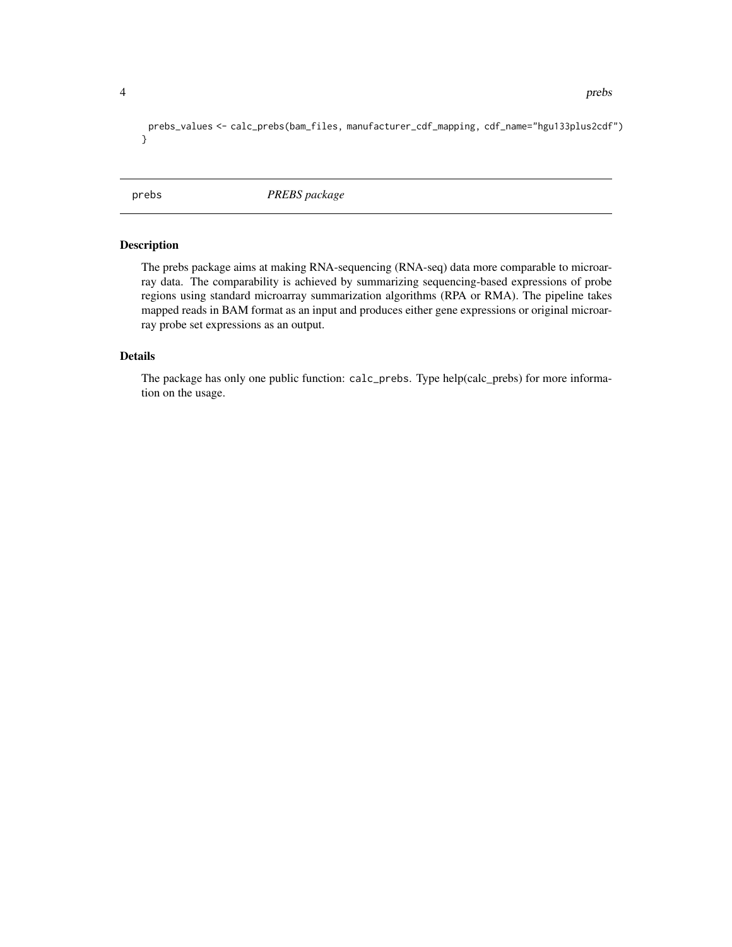```
prebs_values <- calc_prebs(bam_files, manufacturer_cdf_mapping, cdf_name="hgu133plus2cdf")
}
```
prebs *PREBS package*

#### Description

The prebs package aims at making RNA-sequencing (RNA-seq) data more comparable to microarray data. The comparability is achieved by summarizing sequencing-based expressions of probe regions using standard microarray summarization algorithms (RPA or RMA). The pipeline takes mapped reads in BAM format as an input and produces either gene expressions or original microarray probe set expressions as an output.

#### Details

The package has only one public function: calc\_prebs. Type help(calc\_prebs) for more information on the usage.